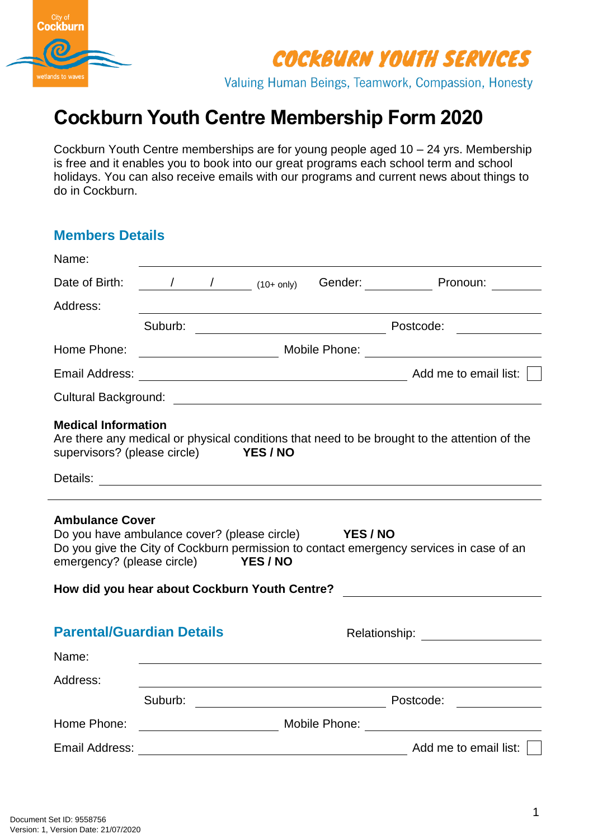

Valuing Human Beings, Teamwork, Compassion, Honesty

# **Cockburn Youth Centre Membership Form 2020**

Cockburn Youth Centre memberships are for young people aged 10 – 24 yrs. Membership is free and it enables you to book into our great programs each school term and school holidays. You can also receive emails with our programs and current news about things to do in Cockburn.

# **Members Details** Name: Date of Birth:  $\frac{1}{10+0}$  (10+ only) Gender: Pronoun: Address: Suburb: Postcode: Home Phone: Mobile Phone: Mobile Phone: Email Address: Add me to email list:  $\Box$ Cultural Background: **Medical Information** Are there any medical or physical conditions that need to be brought to the attention of the supervisors? (please circle) **YES / NO** supervisors? (please circle) Details: **Details: Contract Contract Contract Contract Contract Contract Contract Contract Contract Contract Contract Contract Contract Contract Contract Contract Contract Contract Contract Contract Contract Contract Con Ambulance Cover** Do you have ambulance cover? (please circle) **YES / NO** Do you give the City of Cockburn permission to contact emergency services in case of an emergency? (please circle) **YES / NO How did you hear about Cockburn Youth Centre? Parental/Guardian Details** Relationship: Name: Address: Suburb: The Contract of the Postcode: The Contract of the Postcode: The Contract of the Contract of the Contract of the Contract of the Contract of the Contract of the Contract of the Contract of the Contract of the Contra Home Phone: Mobile Phone: 1990 Mobile Phone: 2008 Email Address:  $\Box$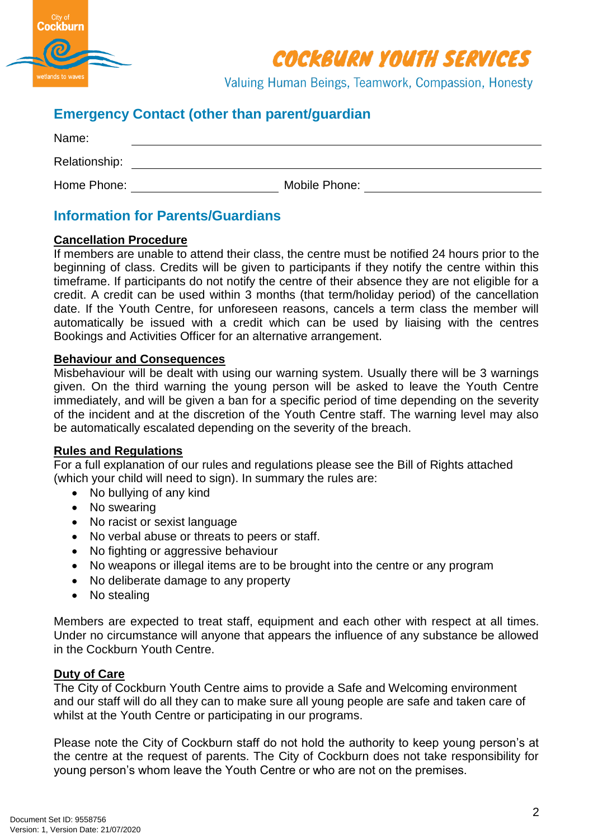

Valuing Human Beings, Teamwork, Compassion, Honesty

# **Emergency Contact (other than parent/guardian**

| Name:         |               |  |
|---------------|---------------|--|
| Relationship: |               |  |
| Home Phone:   | Mobile Phone: |  |

### **Information for Parents/Guardians**

### **Cancellation Procedure**

If members are unable to attend their class, the centre must be notified 24 hours prior to the beginning of class. Credits will be given to participants if they notify the centre within this timeframe. If participants do not notify the centre of their absence they are not eligible for a credit. A credit can be used within 3 months (that term/holiday period) of the cancellation date. If the Youth Centre, for unforeseen reasons, cancels a term class the member will automatically be issued with a credit which can be used by liaising with the centres Bookings and Activities Officer for an alternative arrangement.

### **Behaviour and Consequences**

Misbehaviour will be dealt with using our warning system. Usually there will be 3 warnings given. On the third warning the young person will be asked to leave the Youth Centre immediately, and will be given a ban for a specific period of time depending on the severity of the incident and at the discretion of the Youth Centre staff. The warning level may also be automatically escalated depending on the severity of the breach.

#### **Rules and Regulations**

For a full explanation of our rules and regulations please see the Bill of Rights attached (which your child will need to sign). In summary the rules are:

- No bullying of any kind
- No swearing
- No racist or sexist language
- No verbal abuse or threats to peers or staff.
- No fighting or aggressive behaviour
- No weapons or illegal items are to be brought into the centre or any program
- No deliberate damage to any property
- No stealing

Members are expected to treat staff, equipment and each other with respect at all times. Under no circumstance will anyone that appears the influence of any substance be allowed in the Cockburn Youth Centre.

#### **Duty of Care**

The City of Cockburn Youth Centre aims to provide a Safe and Welcoming environment and our staff will do all they can to make sure all young people are safe and taken care of whilst at the Youth Centre or participating in our programs.

Please note the City of Cockburn staff do not hold the authority to keep young person's at the centre at the request of parents. The City of Cockburn does not take responsibility for young person's whom leave the Youth Centre or who are not on the premises.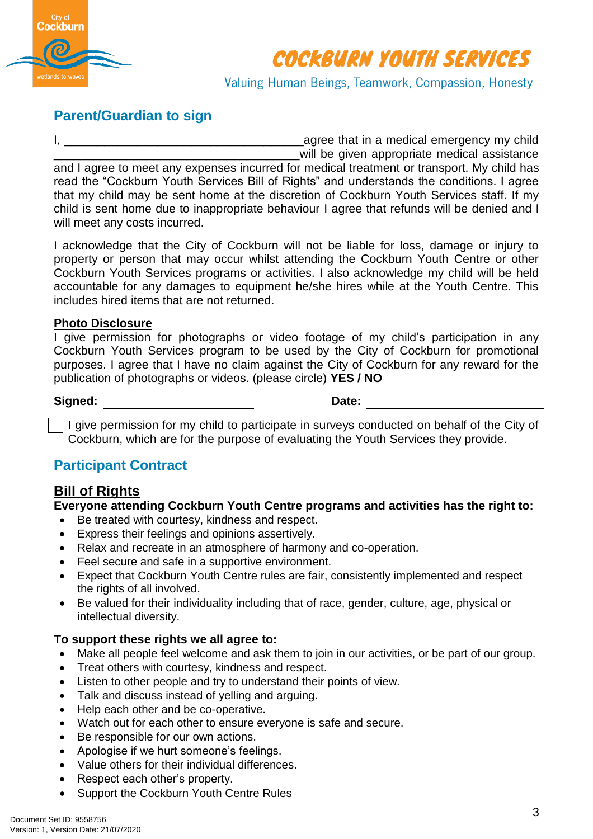

Valuing Human Beings, Teamwork, Compassion, Honesty

## **Parent/Guardian to sign**

I, \_\_\_\_\_\_\_\_\_\_\_\_\_\_\_\_\_\_\_\_\_\_\_\_\_\_\_\_\_\_\_\_\_\_\_\_agree that in a medical emergency my child will be given appropriate medical assistance and I agree to meet any expenses incurred for medical treatment or transport. My child has read the "Cockburn Youth Services Bill of Rights" and understands the conditions. I agree that my child may be sent home at the discretion of Cockburn Youth Services staff. If my child is sent home due to inappropriate behaviour I agree that refunds will be denied and I will meet any costs incurred.

I acknowledge that the City of Cockburn will not be liable for loss, damage or injury to property or person that may occur whilst attending the Cockburn Youth Centre or other Cockburn Youth Services programs or activities. I also acknowledge my child will be held accountable for any damages to equipment he/she hires while at the Youth Centre. This includes hired items that are not returned.

### **Photo Disclosure**

I give permission for photographs or video footage of my child's participation in any Cockburn Youth Services program to be used by the City of Cockburn for promotional purposes. I agree that I have no claim against the City of Cockburn for any reward for the publication of photographs or videos. (please circle) **YES / NO**

**Signed: Date:**

 $\vert$  I give permission for my child to participate in surveys conducted on behalf of the City of Cockburn, which are for the purpose of evaluating the Youth Services they provide.

# **Participant Contract**

### **Bill of Rights**

**Everyone attending Cockburn Youth Centre programs and activities has the right to:** 

- Be treated with courtesy, kindness and respect.
- Express their feelings and opinions assertively.
- Relax and recreate in an atmosphere of harmony and co-operation.
- Feel secure and safe in a supportive environment.
- Expect that Cockburn Youth Centre rules are fair, consistently implemented and respect the rights of all involved.
- Be valued for their individuality including that of race, gender, culture, age, physical or intellectual diversity.

### **To support these rights we all agree to:**

- Make all people feel welcome and ask them to join in our activities, or be part of our group.
- Treat others with courtesy, kindness and respect.
- Listen to other people and try to understand their points of view.
- Talk and discuss instead of yelling and arguing.
- Help each other and be co-operative.
- Watch out for each other to ensure everyone is safe and secure.
- Be responsible for our own actions.
- Apologise if we hurt someone's feelings.
- Value others for their individual differences.
- Respect each other's property.
- Support the Cockburn Youth Centre Rules